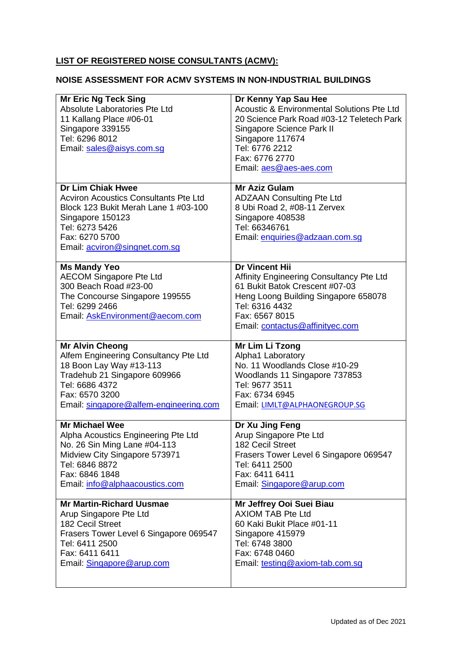## **LIST OF REGISTERED NOISE CONSULTANTS (ACMV):**

## **NOISE ASSESSMENT FOR ACMV SYSTEMS IN NON-INDUSTRIAL BUILDINGS**

| <b>Mr Eric Ng Teck Sing</b><br><b>Absolute Laboratories Pte Ltd</b><br>11 Kallang Place #06-01<br>Singapore 339155<br>Tel: 6296 8012<br>Email: sales@aisys.com.sq                                         | Dr Kenny Yap Sau Hee<br><b>Acoustic &amp; Environmental Solutions Pte Ltd</b><br>20 Science Park Road #03-12 Teletech Park<br>Singapore Science Park II<br>Singapore 117674<br>Tel: 6776 2212<br>Fax: 6776 2770    |
|-----------------------------------------------------------------------------------------------------------------------------------------------------------------------------------------------------------|--------------------------------------------------------------------------------------------------------------------------------------------------------------------------------------------------------------------|
|                                                                                                                                                                                                           | Email: aes@aes-aes.com                                                                                                                                                                                             |
| <b>Dr Lim Chiak Hwee</b><br><b>Acviron Acoustics Consultants Pte Ltd</b><br>Block 123 Bukit Merah Lane 1 #03-100<br>Singapore 150123<br>Tel: 6273 5426<br>Fax: 6270 5700<br>Email: acviron@singnet.com.sq | <b>Mr Aziz Gulam</b><br><b>ADZAAN Consulting Pte Ltd</b><br>8 Ubi Road 2, #08-11 Zervex<br>Singapore 408538<br>Tel: 66346761<br>Email: enquiries@adzaan.com.sg                                                     |
| <b>Ms Mandy Yeo</b><br><b>AECOM Singapore Pte Ltd</b><br>300 Beach Road #23-00<br>The Concourse Singapore 199555<br>Tel: 6299 2466<br>Email: AskEnvironment@aecom.com                                     | <b>Dr Vincent Hii</b><br>Affinity Engineering Consultancy Pte Ltd<br>61 Bukit Batok Crescent #07-03<br>Heng Loong Building Singapore 658078<br>Tel: 6316 4432<br>Fax: 6567 8015<br>Email: contactus@affinityec.com |
| <b>Mr Alvin Cheong</b><br>Alfem Engineering Consultancy Pte Ltd<br>18 Boon Lay Way #13-113<br>Tradehub 21 Singapore 609966<br>Tel: 6686 4372<br>Fax: 6570 3200<br>Email: singapore@alfem-engineering.com  | Mr Lim Li Tzong<br>Alpha1 Laboratory<br>No. 11 Woodlands Close #10-29<br>Woodlands 11 Singapore 737853<br>Tel: 9677 3511<br>Fax: 6734 6945<br>Email: LIMLT@ALPHAONEGROUP.SG                                        |
| <b>Mr Michael Wee</b><br>Alpha Acoustics Engineering Pte Ltd<br>No. 26 Sin Ming Lane #04-113<br>Midview City Singapore 573971<br>Tel: 6846 8872<br>Fax: 6846 1848<br>Email: info@alphaacoustics.com       | Dr Xu Jing Feng<br>Arup Singapore Pte Ltd<br><b>182 Cecil Street</b><br>Frasers Tower Level 6 Singapore 069547<br>Tel: 6411 2500<br>Fax: 6411 6411<br>Email: Singapore@arup.com                                    |
| <b>Mr Martin-Richard Uusmae</b><br>Arup Singapore Pte Ltd<br>182 Cecil Street<br>Frasers Tower Level 6 Singapore 069547<br>Tel: 6411 2500<br>Fax: 6411 6411<br>Email: Singapore@arup.com                  | Mr Jeffrey Ooi Suei Biau<br><b>AXIOM TAB Pte Ltd</b><br>60 Kaki Bukit Place #01-11<br>Singapore 415979<br>Tel: 6748 3800<br>Fax: 6748 0460<br>Email: testing@axiom-tab.com.sg                                      |